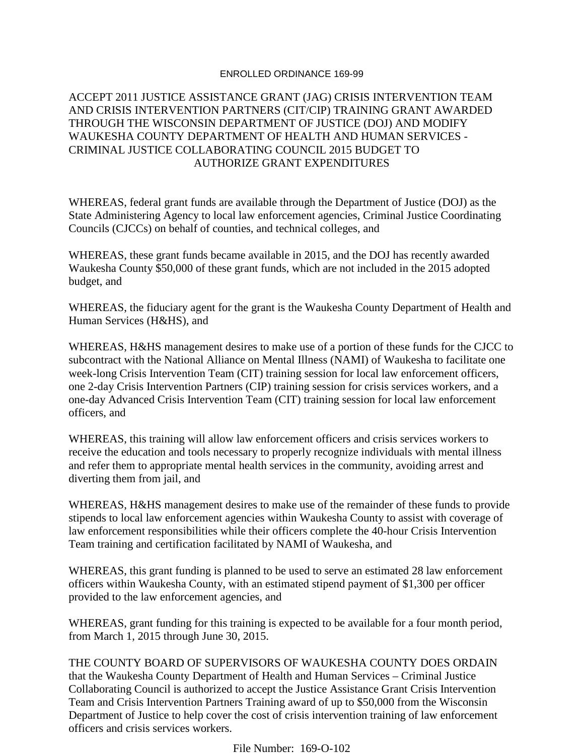### ENROLLED ORDINANCE 169-99

# ACCEPT 2011 JUSTICE ASSISTANCE GRANT (JAG) CRISIS INTERVENTION TEAM AND CRISIS INTERVENTION PARTNERS (CIT/CIP) TRAINING GRANT AWARDED THROUGH THE WISCONSIN DEPARTMENT OF JUSTICE (DOJ) AND MODIFY WAUKESHA COUNTY DEPARTMENT OF HEALTH AND HUMAN SERVICES - CRIMINAL JUSTICE COLLABORATING COUNCIL 2015 BUDGET TO AUTHORIZE GRANT EXPENDITURES

WHEREAS, federal grant funds are available through the Department of Justice (DOJ) as the State Administering Agency to local law enforcement agencies, Criminal Justice Coordinating Councils (CJCCs) on behalf of counties, and technical colleges, and

WHEREAS, these grant funds became available in 2015, and the DOJ has recently awarded Waukesha County \$50,000 of these grant funds, which are not included in the 2015 adopted budget, and

WHEREAS, the fiduciary agent for the grant is the Waukesha County Department of Health and Human Services (H&HS), and

WHEREAS, H&HS management desires to make use of a portion of these funds for the CJCC to subcontract with the National Alliance on Mental Illness (NAMI) of Waukesha to facilitate one week-long Crisis Intervention Team (CIT) training session for local law enforcement officers, one 2-day Crisis Intervention Partners (CIP) training session for crisis services workers, and a one-day Advanced Crisis Intervention Team (CIT) training session for local law enforcement officers, and

WHEREAS, this training will allow law enforcement officers and crisis services workers to receive the education and tools necessary to properly recognize individuals with mental illness and refer them to appropriate mental health services in the community, avoiding arrest and diverting them from jail, and

WHEREAS, H&HS management desires to make use of the remainder of these funds to provide stipends to local law enforcement agencies within Waukesha County to assist with coverage of law enforcement responsibilities while their officers complete the 40-hour Crisis Intervention Team training and certification facilitated by NAMI of Waukesha, and

WHEREAS, this grant funding is planned to be used to serve an estimated 28 law enforcement officers within Waukesha County, with an estimated stipend payment of \$1,300 per officer provided to the law enforcement agencies, and

WHEREAS, grant funding for this training is expected to be available for a four month period, from March 1, 2015 through June 30, 2015.

THE COUNTY BOARD OF SUPERVISORS OF WAUKESHA COUNTY DOES ORDAIN that the Waukesha County Department of Health and Human Services – Criminal Justice Collaborating Council is authorized to accept the Justice Assistance Grant Crisis Intervention Team and Crisis Intervention Partners Training award of up to \$50,000 from the Wisconsin Department of Justice to help cover the cost of crisis intervention training of law enforcement officers and crisis services workers.

File Number: 169-O-102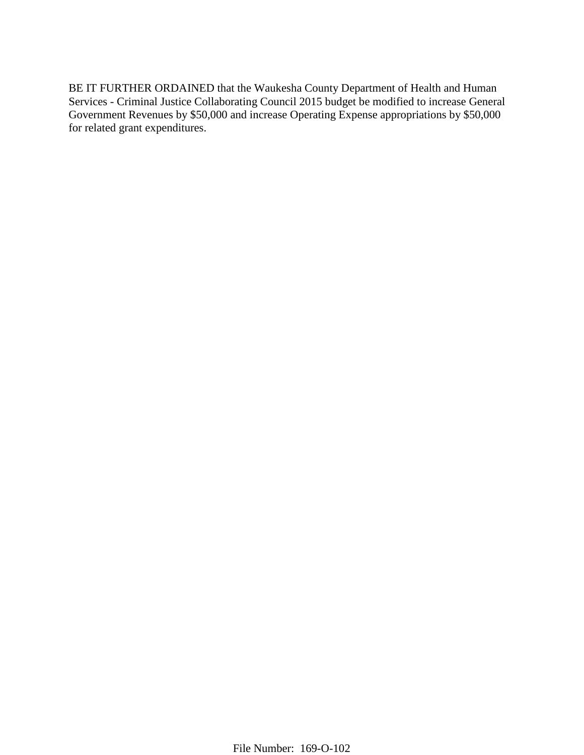BE IT FURTHER ORDAINED that the Waukesha County Department of Health and Human Services - Criminal Justice Collaborating Council 2015 budget be modified to increase General Government Revenues by \$50,000 and increase Operating Expense appropriations by \$50,000 for related grant expenditures.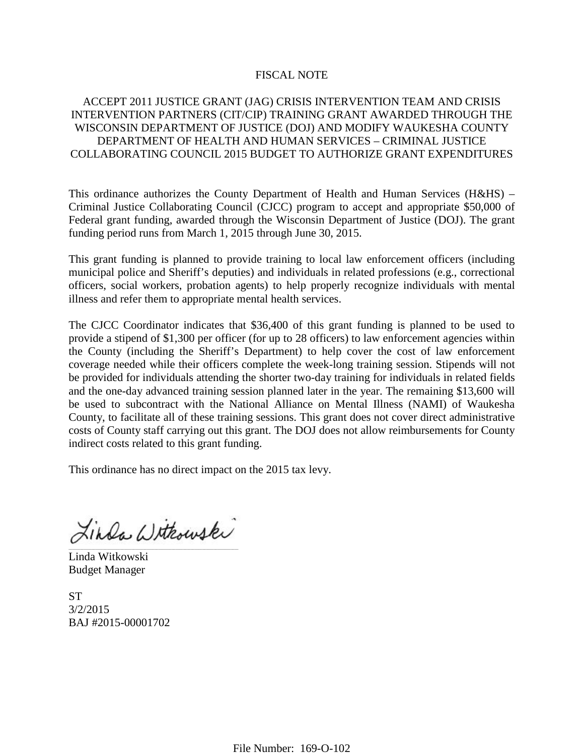### FISCAL NOTE

# ACCEPT 2011 JUSTICE GRANT (JAG) CRISIS INTERVENTION TEAM AND CRISIS INTERVENTION PARTNERS (CIT/CIP) TRAINING GRANT AWARDED THROUGH THE WISCONSIN DEPARTMENT OF JUSTICE (DOJ) AND MODIFY WAUKESHA COUNTY DEPARTMENT OF HEALTH AND HUMAN SERVICES – CRIMINAL JUSTICE COLLABORATING COUNCIL 2015 BUDGET TO AUTHORIZE GRANT EXPENDITURES

This ordinance authorizes the County Department of Health and Human Services (H&HS) – Criminal Justice Collaborating Council (CJCC) program to accept and appropriate \$50,000 of Federal grant funding, awarded through the Wisconsin Department of Justice (DOJ). The grant funding period runs from March 1, 2015 through June 30, 2015.

This grant funding is planned to provide training to local law enforcement officers (including municipal police and Sheriff's deputies) and individuals in related professions (e.g., correctional officers, social workers, probation agents) to help properly recognize individuals with mental illness and refer them to appropriate mental health services.

The CJCC Coordinator indicates that \$36,400 of this grant funding is planned to be used to provide a stipend of \$1,300 per officer (for up to 28 officers) to law enforcement agencies within the County (including the Sheriff's Department) to help cover the cost of law enforcement coverage needed while their officers complete the week-long training session. Stipends will not be provided for individuals attending the shorter two-day training for individuals in related fields and the one-day advanced training session planned later in the year. The remaining \$13,600 will be used to subcontract with the National Alliance on Mental Illness (NAMI) of Waukesha County, to facilitate all of these training sessions. This grant does not cover direct administrative costs of County staff carrying out this grant. The DOJ does not allow reimbursements for County indirect costs related to this grant funding.

This ordinance has no direct impact on the 2015 tax levy.

Linda Withouski \_\_\_\_\_\_\_\_\_\_\_\_\_\_\_\_\_\_\_\_\_\_\_\_\_\_\_\_\_\_\_\_\_\_\_\_\_\_\_\_\_\_\_\_\_\_\_\_\_\_\_\_\_\_\_\_\_\_\_\_\_\_\_\_\_\_\_\_\_\_\_\_\_\_\_\_\_\_\_\_\_\_\_\_\_\_\_\_\_

Linda Witkowski Budget Manager

ST 3/2/2015 BAJ #2015-00001702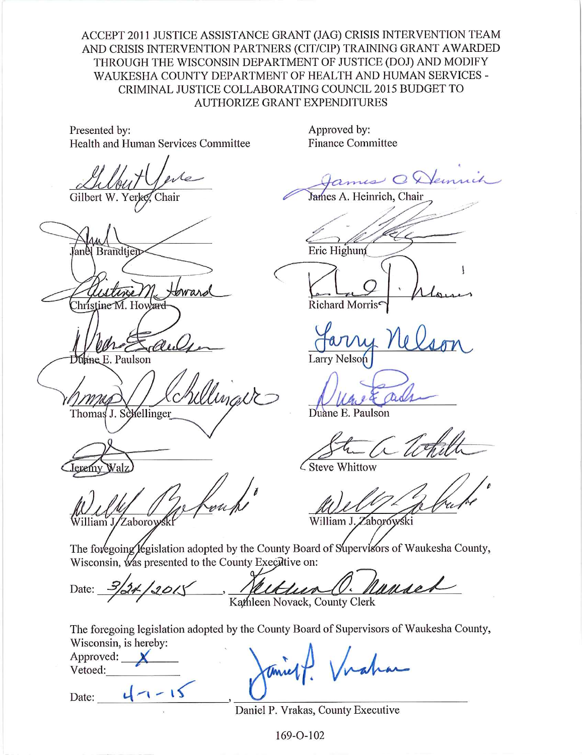ACCEPT 2011 JUSTICE ASSISTANCE GRANT (JAG) CRISIS INTERVENTION TEAM AND CRISIS INTERVENTION PARTNERS (CIT/CIP) TRAINING GRANT AWARDED THROUGH THE WISCONSIN DEPARTMENT OF JUSTICE (DOJ) AND MODIFY WAUKESHA COUNTY DEPARTMENT OF HEALTH AND HUMAN SERVICES -CRIMINAL JUSTICE COLLABORATING COUNCIL 2015 BUDGET TO **AUTHORIZE GRANT EXPENDITURES** 

Presented by: Health and Human Services Committee

Gilbert W. Yerke. Chair

**Brandtien** Christine M. Howard

lane E. Paulson

Thomas J. Schellinger

eremy

William J/Zaborow

Approved by: **Finance Committee** 

James O Demnih

James A. Heinrich, Chair

Eric Highun

Richard Morris<sup>e</sup>

**Larry Nelson** 

Duane E. Paulson

Steve Whittow

William J. Zaborówski

The foregoing legislation adopted by the County Board of Supervisors of Waukesha County, Wisconsin, was presented to the County Executive on:

1. Nanse 3/24/2015 Rathleen Novack, County Clerk Date:

The foregoing legislation adopted by the County Board of Supervisors of Waukesha County, Wisconsin, is hereby:

Approved:  $\mathbb{X}$ Vetoed:

Date:  $4-15$ 

Daniel P. Vrakas, County Executive

169-O-102